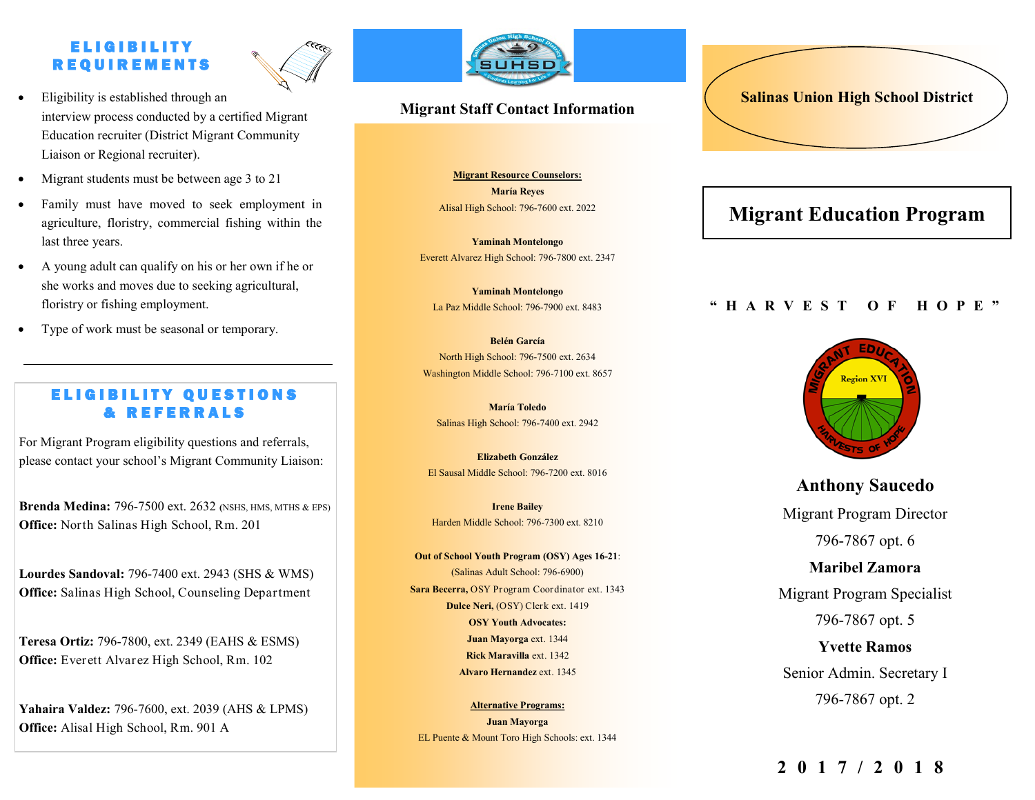## E L I G I B I L I T Y R E Q U I R E M E N T S



- Eligibility is established through an interview process conducted by a certified Migrant Education recruiter (District Migrant Community Liaison or Regional recruiter).
- Migrant students must be between age 3 to 21
- Family must have moved to seek employment in agriculture, floristry, commercial fishing within the last three years.
- A young adult can qualify on his or her own if he or she works and moves due to seeking agricultural, floristry or fishing employment.
- Type of work must be seasonal or temporary.

## **ELIGIBILITY QUESTIONS** & REFERRALS

For Migrant Program eligibility questions and referrals, please contact your school's Migrant Community Liaison:

**Brenda Medina:** 796-7500 ext. 2632 *(NSHS, MTHS & EPS)* **Office:** North Salinas High School, Rm. 201

**Lourdes Sandoval:** 796-7400 ext. 2943 (SHS & WMS) **Office:** Salinas High School, Counseling Department

**Teresa Ortiz:** 796-7800, ext. 2349 (EAHS & ESMS) **Office:** Everett Alvarez High School, Rm. 102

**Yahaira Valdez:** 796-7600, ext. 2039 (AHS & LPMS) **Office:** Alisal High School, Rm. 901 A



## **Migrant Staff Contact Information**

**Migrant Resource Counselors: María Reyes** Alisal High School: 796-7600 ext. 2022

**Yaminah Montelongo** Everett Alvarez High School: 796-7800 ext. 2347

**Yaminah Montelongo** La Paz Middle School: 796-7900 ext. 8483

**Belén García**  North High School: 796-7500 ext. 2634 Washington Middle School: 796-7100 ext. 8657

> **María Toledo**  Salinas High School: 796-7400 ext. 2942

**Elizabeth González** El Sausal Middle School: 796-7200 ext. 8016

**Irene Bailey** Harden Middle School: 796-7300 ext. 8210

**Out of School Youth Program (OSY) Ages 16-21**: (Salinas Adult School: 796-6900) **Sara Becerra,** OSY Program Coordinator ext. 1343 **Dulce Neri,** (OSY) Clerk ext. 1419 **OSY Youth Advocates: Juan Mayorga** ext. 1344 **Rick Maravilla** ext. 1342 **Alvaro Hernandez** ext. 1345

**Alternative Programs: Juan Mayorga** EL Puente & Mount Toro High Schools: ext. 1344

# **Salinas Union High School District**

# **Migrant Education Program**

### **" H A R V E S T O F H O P E "**



**Anthony Saucedo** Migrant Program Director 796-7867 opt. 6 **Maribel Zamora** Migrant Program Specialist

796-7867 opt. 5

**Yvette Ramos**  Senior Admin. Secretary I 796-7867 opt. 2

## **2017/2018**